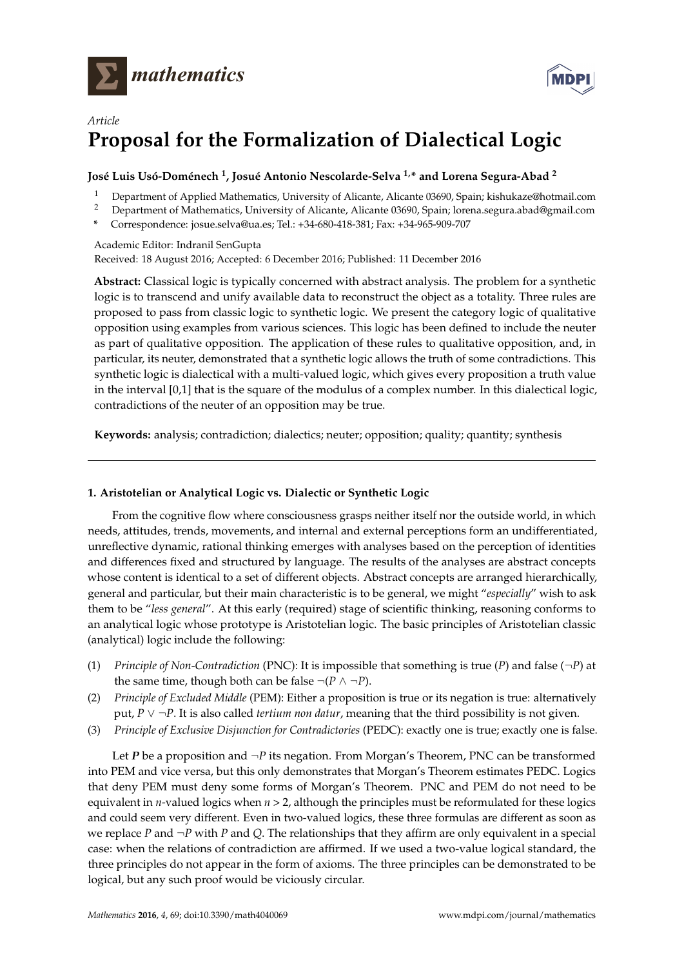



# *Article* **Proposal for the Formalization of Dialectical Logic**

## **José Luis Usó-Doménech <sup>1</sup> , Josué Antonio Nescolarde-Selva 1,\* and Lorena Segura-Abad <sup>2</sup>**

- <sup>1</sup> Department of Applied Mathematics, University of Alicante, Alicante 03690, Spain; kishukaze@hotmail.com
- <sup>2</sup> Department of Mathematics, University of Alicante, Alicante 03690, Spain; lorena.segura.abad@gmail.com
- **\*** Correspondence: josue.selva@ua.es; Tel.: +34-680-418-381; Fax: +34-965-909-707

Academic Editor: Indranil SenGupta Received: 18 August 2016; Accepted: 6 December 2016; Published: 11 December 2016

**Abstract:** Classical logic is typically concerned with abstract analysis. The problem for a synthetic logic is to transcend and unify available data to reconstruct the object as a totality. Three rules are proposed to pass from classic logic to synthetic logic. We present the category logic of qualitative opposition using examples from various sciences. This logic has been defined to include the neuter as part of qualitative opposition. The application of these rules to qualitative opposition, and, in particular, its neuter, demonstrated that a synthetic logic allows the truth of some contradictions. This synthetic logic is dialectical with a multi-valued logic, which gives every proposition a truth value in the interval [0,1] that is the square of the modulus of a complex number. In this dialectical logic, contradictions of the neuter of an opposition may be true.

**Keywords:** analysis; contradiction; dialectics; neuter; opposition; quality; quantity; synthesis

## **1. Aristotelian or Analytical Logic vs. Dialectic or Synthetic Logic**

From the cognitive flow where consciousness grasps neither itself nor the outside world, in which needs, attitudes, trends, movements, and internal and external perceptions form an undifferentiated, unreflective dynamic, rational thinking emerges with analyses based on the perception of identities and differences fixed and structured by language. The results of the analyses are abstract concepts whose content is identical to a set of different objects. Abstract concepts are arranged hierarchically, general and particular, but their main characteristic is to be general, we might "*especially*" wish to ask them to be "*less general*". At this early (required) stage of scientific thinking, reasoning conforms to an analytical logic whose prototype is Aristotelian logic. The basic principles of Aristotelian classic (analytical) logic include the following:

- (1) *Principle of Non-Contradiction* (PNC): It is impossible that something is true (*P*) and false (¬*P*) at the same time, though both can be false  $\neg (P \land \neg P)$ .
- (2) *Principle of Excluded Middle* (PEM): Either a proposition is true or its negation is true: alternatively put, *P* ∨ ¬*P*. It is also called *tertium non datur*, meaning that the third possibility is not given.
- (3) *Principle of Exclusive Disjunction for Contradictories* (PEDC): exactly one is true; exactly one is false.

Let *P* be a proposition and ¬*P* its negation. From Morgan's Theorem, PNC can be transformed into PEM and vice versa, but this only demonstrates that Morgan's Theorem estimates PEDC. Logics that deny PEM must deny some forms of Morgan's Theorem. PNC and PEM do not need to be equivalent in *n*-valued logics when  $n > 2$ , although the principles must be reformulated for these logics and could seem very different. Even in two-valued logics, these three formulas are different as soon as we replace *P* and ¬*P* with *P* and *Q*. The relationships that they affirm are only equivalent in a special case: when the relations of contradiction are affirmed. If we used a two-value logical standard, the three principles do not appear in the form of axioms. The three principles can be demonstrated to be logical, but any such proof would be viciously circular.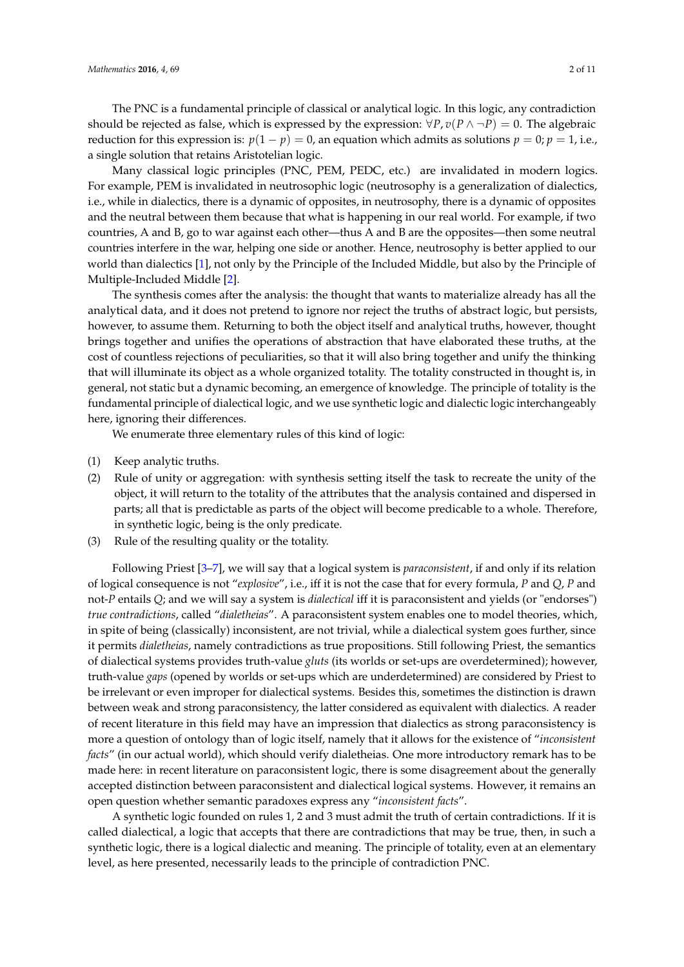The PNC is a fundamental principle of classical or analytical logic. In this logic, any contradiction should be rejected as false, which is expressed by the expression:  $\forall P, v(P \land \neg P) = 0$ . The algebraic reduction for this expression is:  $p(1 - p) = 0$ , an equation which admits as solutions  $p = 0$ ;  $p = 1$ , i.e., a single solution that retains Aristotelian logic.

Many classical logic principles (PNC, PEM, PEDC, etc.) are invalidated in modern logics. For example, PEM is invalidated in neutrosophic logic (neutrosophy is a generalization of dialectics, i.e., while in dialectics, there is a dynamic of opposites, in neutrosophy, there is a dynamic of opposites and the neutral between them because that what is happening in our real world. For example, if two countries, A and B, go to war against each other—thus A and B are the opposites—then some neutral countries interfere in the war, helping one side or another. Hence, neutrosophy is better applied to our world than dialectics [\[1\]](#page-10-0), not only by the Principle of the Included Middle, but also by the Principle of Multiple-Included Middle [\[2\]](#page-10-1).

The synthesis comes after the analysis: the thought that wants to materialize already has all the analytical data, and it does not pretend to ignore nor reject the truths of abstract logic, but persists, however, to assume them. Returning to both the object itself and analytical truths, however, thought brings together and unifies the operations of abstraction that have elaborated these truths, at the cost of countless rejections of peculiarities, so that it will also bring together and unify the thinking that will illuminate its object as a whole organized totality. The totality constructed in thought is, in general, not static but a dynamic becoming, an emergence of knowledge. The principle of totality is the fundamental principle of dialectical logic, and we use synthetic logic and dialectic logic interchangeably here, ignoring their differences.

We enumerate three elementary rules of this kind of logic:

- (1) Keep analytic truths.
- (2) Rule of unity or aggregation: with synthesis setting itself the task to recreate the unity of the object, it will return to the totality of the attributes that the analysis contained and dispersed in parts; all that is predictable as parts of the object will become predicable to a whole. Therefore, in synthetic logic, being is the only predicate.
- (3) Rule of the resulting quality or the totality.

Following Priest [\[3](#page-10-2)[–7\]](#page-10-3), we will say that a logical system is *paraconsistent*, if and only if its relation of logical consequence is not "*explosive*", i.e., iff it is not the case that for every formula, *P* and *Q*, *P* and not-*P* entails *Q*; and we will say a system is *dialectical* iff it is paraconsistent and yields (or "endorses") *true contradictions*, called "*dialetheias*". A paraconsistent system enables one to model theories, which, in spite of being (classically) inconsistent, are not trivial, while a dialectical system goes further, since it permits *dialetheias*, namely contradictions as true propositions. Still following Priest, the semantics of dialectical systems provides truth-value *gluts* (its worlds or set-ups are overdetermined); however, truth-value *gaps* (opened by worlds or set-ups which are underdetermined) are considered by Priest to be irrelevant or even improper for dialectical systems. Besides this, sometimes the distinction is drawn between weak and strong paraconsistency, the latter considered as equivalent with dialectics. A reader of recent literature in this field may have an impression that dialectics as strong paraconsistency is more a question of ontology than of logic itself, namely that it allows for the existence of "*inconsistent facts*" (in our actual world), which should verify dialetheias. One more introductory remark has to be made here: in recent literature on paraconsistent logic, there is some disagreement about the generally accepted distinction between paraconsistent and dialectical logical systems. However, it remains an open question whether semantic paradoxes express any "*inconsistent facts*".

A synthetic logic founded on rules 1, 2 and 3 must admit the truth of certain contradictions. If it is called dialectical, a logic that accepts that there are contradictions that may be true, then, in such a synthetic logic, there is a logical dialectic and meaning. The principle of totality, even at an elementary level, as here presented, necessarily leads to the principle of contradiction PNC.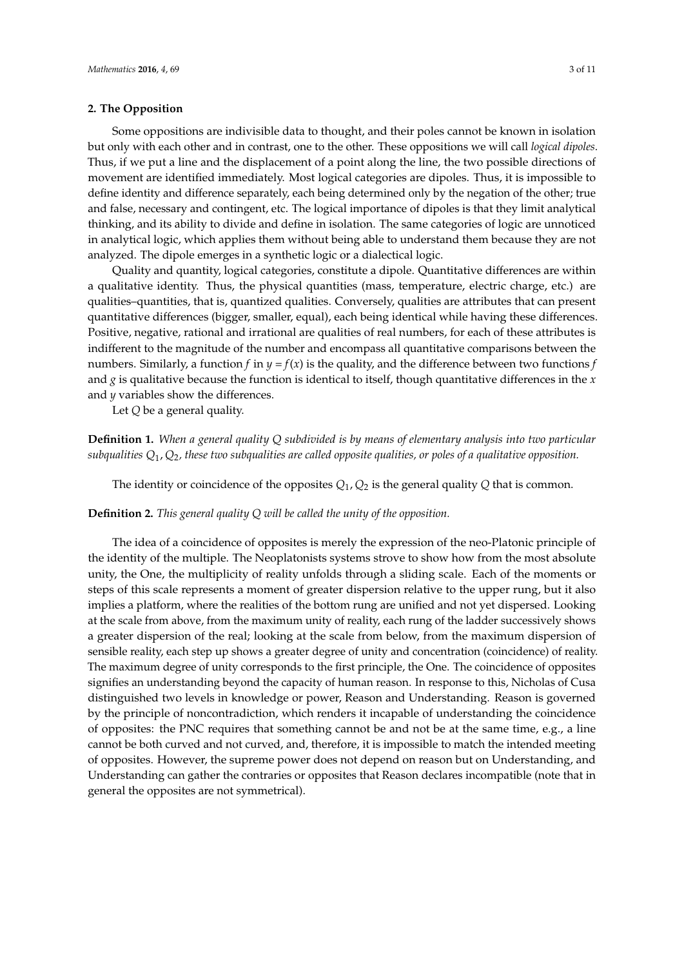### **2. The Opposition**

Some oppositions are indivisible data to thought, and their poles cannot be known in isolation but only with each other and in contrast, one to the other. These oppositions we will call *logical dipoles*. Thus, if we put a line and the displacement of a point along the line, the two possible directions of movement are identified immediately. Most logical categories are dipoles. Thus, it is impossible to define identity and difference separately, each being determined only by the negation of the other; true and false, necessary and contingent, etc. The logical importance of dipoles is that they limit analytical thinking, and its ability to divide and define in isolation. The same categories of logic are unnoticed in analytical logic, which applies them without being able to understand them because they are not analyzed. The dipole emerges in a synthetic logic or a dialectical logic.

Quality and quantity, logical categories, constitute a dipole. Quantitative differences are within a qualitative identity. Thus, the physical quantities (mass, temperature, electric charge, etc.) are qualities–quantities, that is, quantized qualities. Conversely, qualities are attributes that can present quantitative differences (bigger, smaller, equal), each being identical while having these differences. Positive, negative, rational and irrational are qualities of real numbers, for each of these attributes is indifferent to the magnitude of the number and encompass all quantitative comparisons between the numbers. Similarly, a function *f* in  $y = f(x)$  is the quality, and the difference between two functions *f* and *g* is qualitative because the function is identical to itself, though quantitative differences in the *x* and *y* variables show the differences.

Let *Q* be a general quality.

**Definition 1.** *When a general quality Q subdivided is by means of elementary analysis into two particular subqualities Q*1, *Q*2*, these two subqualities are called opposite qualities, or poles of a qualitative opposition.*

The identity or coincidence of the opposites  $Q_1$ ,  $Q_2$  is the general quality  $Q$  that is common.

**Definition 2.** *This general quality Q will be called the unity of the opposition.*

The idea of a coincidence of opposites is merely the expression of the neo-Platonic principle of the identity of the multiple. The Neoplatonists systems strove to show how from the most absolute unity, the One, the multiplicity of reality unfolds through a sliding scale. Each of the moments or steps of this scale represents a moment of greater dispersion relative to the upper rung, but it also implies a platform, where the realities of the bottom rung are unified and not yet dispersed. Looking at the scale from above, from the maximum unity of reality, each rung of the ladder successively shows a greater dispersion of the real; looking at the scale from below, from the maximum dispersion of sensible reality, each step up shows a greater degree of unity and concentration (coincidence) of reality. The maximum degree of unity corresponds to the first principle, the One. The coincidence of opposites signifies an understanding beyond the capacity of human reason. In response to this, Nicholas of Cusa distinguished two levels in knowledge or power, Reason and Understanding. Reason is governed by the principle of noncontradiction, which renders it incapable of understanding the coincidence of opposites: the PNC requires that something cannot be and not be at the same time, e.g., a line cannot be both curved and not curved, and, therefore, it is impossible to match the intended meeting of opposites. However, the supreme power does not depend on reason but on Understanding, and Understanding can gather the contraries or opposites that Reason declares incompatible (note that in general the opposites are not symmetrical).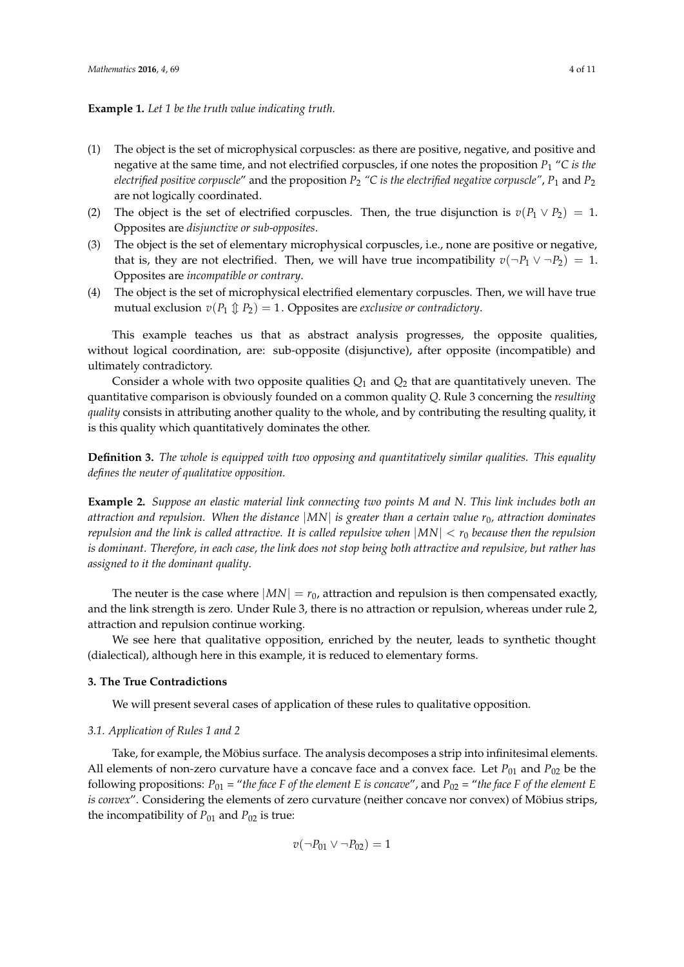### **Example 1.** *Let 1 be the truth value indicating truth.*

- (1) The object is the set of microphysical corpuscles: as there are positive, negative, and positive and negative at the same time, and not electrified corpuscles, if one notes the proposition *P*<sup>1</sup> "*C is the electrified positive corpuscle*" and the proposition *P*<sup>2</sup> *"C is the electrified negative corpuscle"*, *P*<sup>1</sup> and *P*<sup>2</sup> are not logically coordinated.
- (2) The object is the set of electrified corpuscles. Then, the true disjunction is  $v(P_1 \vee P_2) = 1$ . Opposites are *disjunctive or sub-opposites*.
- (3) The object is the set of elementary microphysical corpuscles, i.e., none are positive or negative, that is, they are not electrified. Then, we will have true incompatibility  $v(\neg P_1 \lor \neg P_2) = 1$ . Opposites are *incompatible or contrary*.
- (4) The object is the set of microphysical electrified elementary corpuscles. Then, we will have true mutual exclusion  $v(P_1 \nparallel P_2) = 1$ . Opposites are *exclusive or contradictory*.

This example teaches us that as abstract analysis progresses, the opposite qualities, without logical coordination, are: sub-opposite (disjunctive), after opposite (incompatible) and ultimately contradictory.

Consider a whole with two opposite qualities *Q*<sup>1</sup> and *Q*<sup>2</sup> that are quantitatively uneven. The quantitative comparison is obviously founded on a common quality *Q*. Rule 3 concerning the *resulting quality* consists in attributing another quality to the whole, and by contributing the resulting quality, it is this quality which quantitatively dominates the other.

**Definition 3.** *The whole is equipped with two opposing and quantitatively similar qualities. This equality defines the neuter of qualitative opposition.*

**Example 2.** *Suppose an elastic material link connecting two points M and N. This link includes both an attraction and repulsion. When the distance* |*MN*| *is greater than a certain value r*0*, attraction dominates repulsion and the link is called attractive. It is called repulsive when* |*MN*| < *r*<sup>0</sup> *because then the repulsion is dominant. Therefore, in each case, the link does not stop being both attractive and repulsive, but rather has assigned to it the dominant quality*.

The neuter is the case where  $|MN| = r_0$ , attraction and repulsion is then compensated exactly, and the link strength is zero. Under Rule 3, there is no attraction or repulsion, whereas under rule 2, attraction and repulsion continue working.

We see here that qualitative opposition, enriched by the neuter, leads to synthetic thought (dialectical), although here in this example, it is reduced to elementary forms.

### **3. The True Contradictions**

We will present several cases of application of these rules to qualitative opposition.

### *3.1. Application of Rules 1 and 2*

Take, for example, the Möbius surface. The analysis decomposes a strip into infinitesimal elements. All elements of non-zero curvature have a concave face and a convex face. Let  $P_{01}$  and  $P_{02}$  be the following propositions:  $P_{01}$  = "the face F of the element E is concave", and  $P_{02}$  = "the face F of the element E *is convex*". Considering the elements of zero curvature (neither concave nor convex) of Möbius strips, the incompatibility of  $P_{01}$  and  $P_{02}$  is true:

$$
v(\neg P_{01} \vee \neg P_{02}) = 1
$$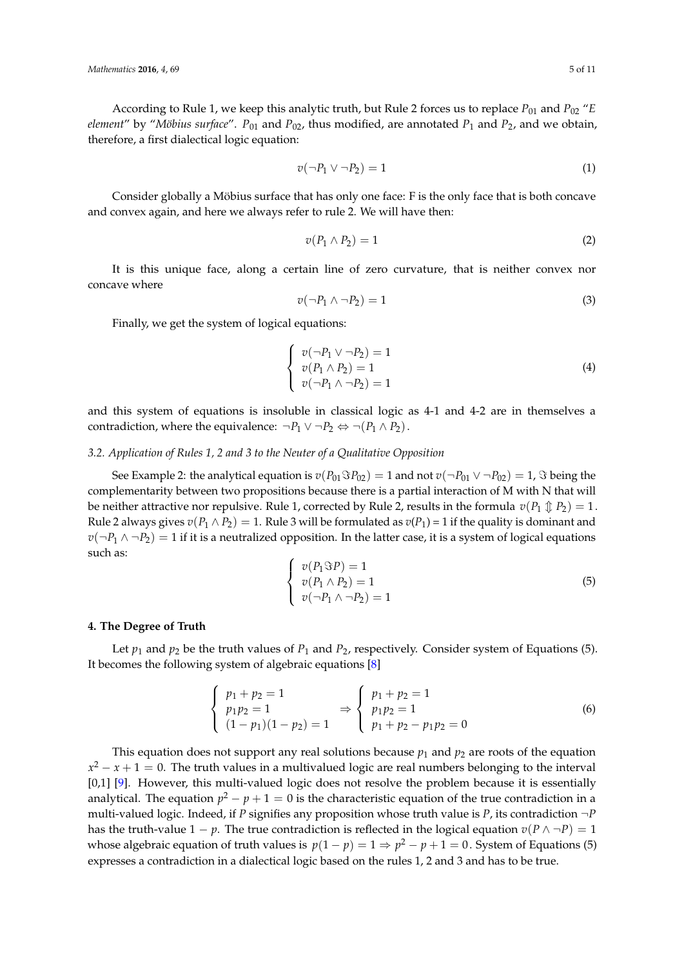According to Rule 1, we keep this analytic truth, but Rule 2 forces us to replace  $P_{01}$  and  $P_{02}$  "*E element"* by "*Möbius surface".*  $P_{01}$  and  $P_{02}$ , thus modified, are annotated  $P_1$  and  $P_2$ , and we obtain, therefore, a first dialectical logic equation:

$$
v(\neg P_1 \lor \neg P_2) = 1 \tag{1}
$$

Consider globally a Möbius surface that has only one face: F is the only face that is both concave and convex again, and here we always refer to rule 2. We will have then:

$$
v(P_1 \wedge P_2) = 1 \tag{2}
$$

It is this unique face, along a certain line of zero curvature, that is neither convex nor concave where

$$
v(\neg P_1 \land \neg P_2) = 1 \tag{3}
$$

Finally, we get the system of logical equations:

$$
\begin{cases}\nv(\neg P_1 \lor \neg P_2) = 1 \\
v(P_1 \land P_2) = 1 \\
v(\neg P_1 \land \neg P_2) = 1\n\end{cases}
$$
\n(4)

and this system of equations is insoluble in classical logic as 4-1 and 4-2 are in themselves a contradiction, where the equivalence:  $\neg P_1 \lor \neg P_2 \Leftrightarrow \neg (P_1 \land P_2)$ .

### *3.2. Application of Rules 1, 2 and 3 to the Neuter of a Qualitative Opposition*

See Example 2: the analytical equation is  $v(P_{01}SP_{02}) = 1$  and not  $v(\neg P_{01} \vee \neg P_{02}) = 1$ ,  $\Im$  being the complementarity between two propositions because there is a partial interaction of M with N that will be neither attractive nor repulsive. Rule 1, corrected by Rule 2, results in the formula  $v(P_1 \oplus P_2) = 1$ . Rule 2 always gives  $v(P_1 \wedge P_2) = 1$ . Rule 3 will be formulated as  $v(P_1) = 1$  if the quality is dominant and  $v(\neg P_1 \land \neg P_2) = 1$  if it is a neutralized opposition. In the latter case, it is a system of logical equations such as:

$$
\begin{cases}\nv(P_1 \Im P) = 1 \\
v(P_1 \land P_2) = 1 \\
v(\neg P_1 \land \neg P_2) = 1\n\end{cases}
$$
\n(5)

#### **4. The Degree of Truth**

Let  $p_1$  and  $p_2$  be the truth values of  $P_1$  and  $P_2$ , respectively. Consider system of Equations (5). It becomes the following system of algebraic equations [\[8\]](#page-10-4)

$$
\begin{cases}\n p_1 + p_2 = 1 \\
 p_1 p_2 = 1 \\
 (1 - p_1)(1 - p_2) = 1\n\end{cases}\n\Rightarrow\n\begin{cases}\n p_1 + p_2 = 1 \\
 p_1 p_2 = 1 \\
 p_1 + p_2 - p_1 p_2 = 0\n\end{cases}
$$
\n(6)

This equation does not support any real solutions because  $p_1$  and  $p_2$  are roots of the equation  $x^2 - x + 1 = 0$ . The truth values in a multivalued logic are real numbers belonging to the interval [0,1] [\[9\]](#page-10-5). However, this multi-valued logic does not resolve the problem because it is essentially analytical. The equation  $p^2 - p + 1 = 0$  is the characteristic equation of the true contradiction in a multi-valued logic. Indeed, if *P* signifies any proposition whose truth value is *P*, its contradiction ¬*P* has the truth-value  $1 - p$ . The true contradiction is reflected in the logical equation  $v(P \land \neg P) = 1$ whose algebraic equation of truth values is  $p(1-p) = 1 \Rightarrow p^2 - p + 1 = 0$ . System of Equations (5) expresses a contradiction in a dialectical logic based on the rules 1, 2 and 3 and has to be true.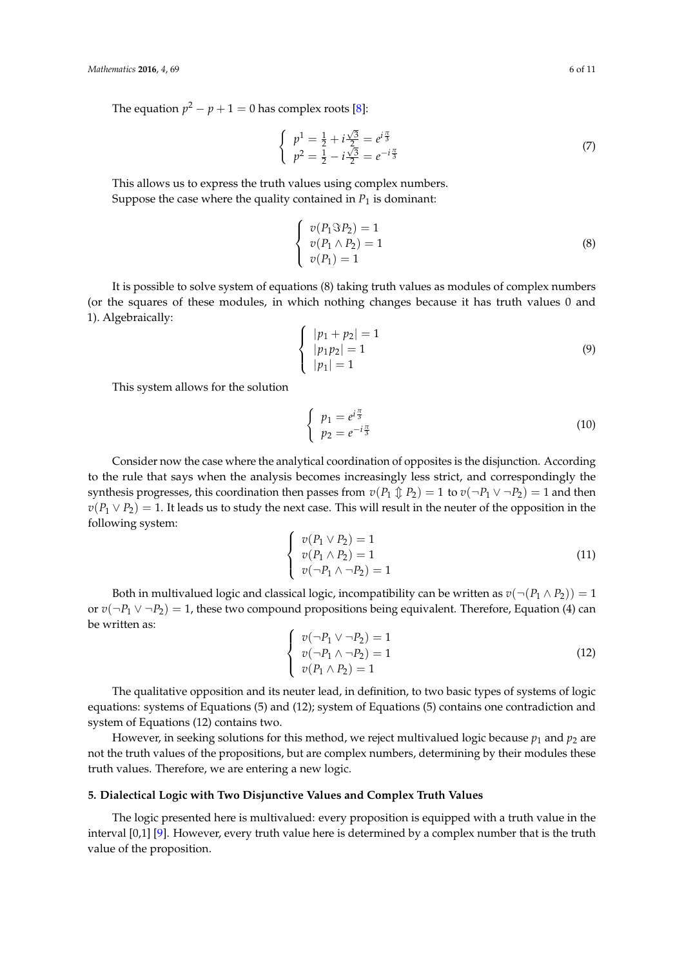The equation  $p^2 - p + 1 = 0$  has complex roots [\[8\]](#page-10-4):

$$
\begin{cases}\n p^1 = \frac{1}{2} + i\frac{\sqrt{3}}{2} = e^{i\frac{\pi}{3}} \\
 p^2 = \frac{1}{2} - i\frac{\sqrt{3}}{2} = e^{-i\frac{\pi}{3}}\n\end{cases}
$$
\n(7)

This allows us to express the truth values using complex numbers.

Suppose the case where the quality contained in  $P_1$  is dominant:

$$
\begin{cases}\nv(P_1 \Im P_2) = 1 \\
v(P_1 \land P_2) = 1 \\
v(P_1) = 1\n\end{cases}
$$
\n(8)

It is possible to solve system of equations (8) taking truth values as modules of complex numbers (or the squares of these modules, in which nothing changes because it has truth values 0 and 1). Algebraically:

$$
\begin{cases} |p_1 + p_2| = 1\\ |p_1 p_2| = 1\\ |p_1| = 1 \end{cases}
$$
 (9)

This system allows for the solution

$$
\begin{cases}\np_1 = e^{i\frac{\pi}{3}} \\
p_2 = e^{-i\frac{\pi}{3}}\n\end{cases}
$$
\n(10)

Consider now the case where the analytical coordination of opposites is the disjunction. According to the rule that says when the analysis becomes increasingly less strict, and correspondingly the synthesis progresses, this coordination then passes from  $v(P_1 \oplus P_2) = 1$  to  $v(\neg P_1 \vee \neg P_2) = 1$  and then  $v(P_1 \vee P_2) = 1$ . It leads us to study the next case. This will result in the neuter of the opposition in the following system:

$$
\begin{cases}\nv(P_1 \vee P_2) = 1 \\
v(P_1 \wedge P_2) = 1 \\
v(\neg P_1 \wedge \neg P_2) = 1\n\end{cases}
$$
\n(11)

Both in multivalued logic and classical logic, incompatibility can be written as  $v(\neg (P_1 \land P_2)) = 1$ or  $v(\neg P_1 \lor \neg P_2) = 1$ , these two compound propositions being equivalent. Therefore, Equation (4) can be written as:

$$
\begin{cases}\nv(\neg P_1 \lor \neg P_2) = 1 \\
v(\neg P_1 \land \neg P_2) = 1 \\
v(P_1 \land P_2) = 1\n\end{cases}
$$
\n(12)

The qualitative opposition and its neuter lead, in definition, to two basic types of systems of logic equations: systems of Equations (5) and (12); system of Equations (5) contains one contradiction and system of Equations (12) contains two.

However, in seeking solutions for this method, we reject multivalued logic because  $p_1$  and  $p_2$  are not the truth values of the propositions, but are complex numbers, determining by their modules these truth values. Therefore, we are entering a new logic.

### **5. Dialectical Logic with Two Disjunctive Values and Complex Truth Values**

The logic presented here is multivalued: every proposition is equipped with a truth value in the interval [0,1] [\[9\]](#page-10-5). However, every truth value here is determined by a complex number that is the truth value of the proposition.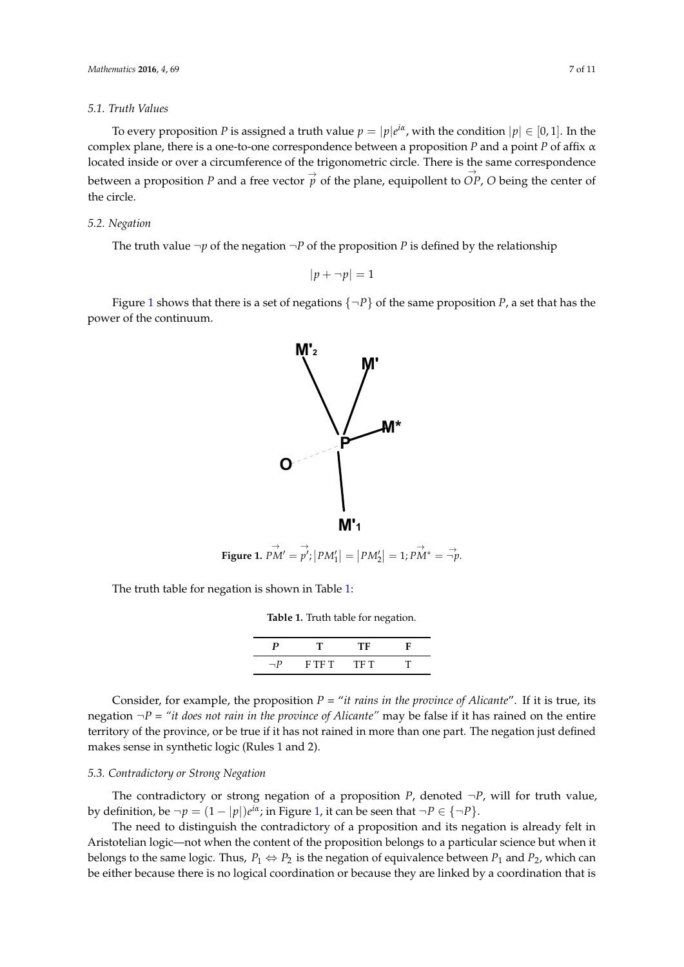#### *5.1. Truth Values*

To every proposition *P* is assigned a truth value  $p = |p|e^{i\alpha}$ , with the condition  $|p| \in [0,1]$ . In the complex plane, there is a one-to-one correspondence between a proposition *P* and a point *P* of affix α *Mathematics* **2016**, *4*, 69 7 of 11 located inside or over a circumference of the trigonometric circle. There is the same correspondence between a proposition P and a free vector  $\overrightarrow{p}$  of the plane, equipollent to OP, O being the center of the circle. the circle.

## *5.2. Negation 5.2. Negation*

The truth value  $\neg p$  of the negation  $\neg P$  of the proposition *P* is defined by the relationship

$$
|p + \neg p| = 1
$$

<span id="page-6-0"></span>Figure [1](#page-6-0) shows that there is a set of negations  $\{\neg P\}$  of the same proposition *P*, a set that has the power of the continuum. power of the continuum.



**Figure 1.**  $PM' = p'$ ;  $|PM'_1| = |PM'_2| = 1$ ;  $PM^* = \vec{\neg p}$ .  $\stackrel{\rightarrow}{PM'} = \stackrel{\rightarrow}{p'}$  $\overrightarrow{p'}$ ;  $|PM'_1| = |PM'_2| = 1$ ;  $\overrightarrow{PM^*} = \overrightarrow{\neg p}$ .

<span id="page-6-1"></span>The truth table for negation is shown in Table 1: The truth table for negation is shown in Table [1:](#page-6-1)

**Table 1.** Truth table for negation. **Table 1.** Truth table for negation.

|          |         | TE.  |  |
|----------|---------|------|--|
| $\neg P$ | F T F T | TF T |  |

Consider, for example, the proposition  $P =$  "it rains in the province of Alicante". If it is true, its regation  $\neg P = "it does not rain in the province of Alicante" may be false if it has rained on the entire$ territory of the province, or be true if it has notrained in more than one part. The negation just defined territory of the province, or be true if it has not rained in more than one part. The negation just defined makes sense in synthetic logic (Rules 1 and 2). makes sense in synthetic logic (Rules 1 and 2).

## *5.3. Contradictory or Strong Negation 5.3. Contradictory or Strong Negation*

The contradictory or strong negation of a proposition *P*, denoted  $\neg P$ , will for truth value, by definition, be  $\neg p = (1 - |p|)e^{i\alpha}$ ; in Figure [1,](#page-6-0) it can be seen that  $\neg P \in \{\neg P\}$ .

The need to distinguish the contradictory of a proposition and its negation is already felt in The need to distinguish the contradictory of a proposition and its negation is already felt in Aristotelian logic—not when the content of the proposition belongs to a particular science but when Aristotelian logic—not when the content of the proposition belongs to a particular science but when it belongs to the same logic. Thus,  $P_1 \Leftrightarrow P_2$  is the negation of equivalence between  $P_1$  and  $P_2$ , which can be either because there is no logical coordination or because they are linked by a coordination that is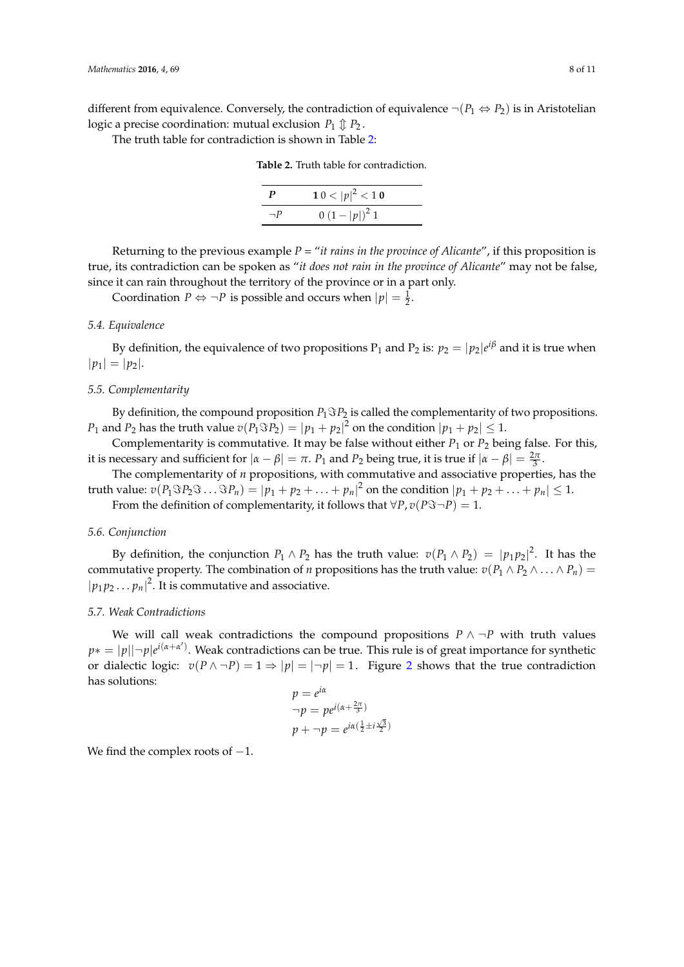different from equivalence. Conversely, the contradiction of equivalence  $\neg (P_1 \Leftrightarrow P_2)$  is in Aristotelian logic a precise coordination: mutual exclusion  $P_1 \oplus P_2$ .

<span id="page-7-0"></span>The truth table for contradiction is shown in Table [2:](#page-7-0)

**Table 2.** Truth table for contradiction.

| $\bm{P}$ | $10 <  p ^2 < 10$ |  |
|----------|-------------------|--|
| $\neg P$ | $(1- p )^2$ 1     |  |

Returning to the previous example *P* = "*it rains in the province of Alicante*", if this proposition is true, its contradiction can be spoken as "*it does not rain in the province of Alicante*" may not be false, since it can rain throughout the territory of the province or in a part only.

Coordination  $P \Leftrightarrow \neg P$  is possible and occurs when  $|p| = \frac{1}{2}$ .

### *5.4. Equivalence*

By definition, the equivalence of two propositions  $P_1$  and  $P_2$  is:  $p_2 = |p_2|e^{i\beta}$  and it is true when  $|p_1| = |p_2|$ .

### *5.5. Complementarity*

By definition, the compound proposition  $P_1 \Im P_2$  is called the complementarity of two propositions.  $P_1$  and  $P_2$  has the truth value  $v(P_1 \Im P_2) = |p_1 + p_2|^2$  on the condition  $|p_1 + p_2| \leq 1$ .

Complementarity is commutative. It may be false without either  $P_1$  or  $P_2$  being false. For this, it is necessary and sufficient for  $|a - \beta| = \pi$ .  $P_1$  and  $P_2$  being true, it is true if  $|a - \beta| = \frac{2\pi}{3}$ .

The complementarity of *n* propositions, with commutative and associative properties, has the truth value:  $v(P_1 \Im P_2 \Im \ldots \Im P_n) = |p_1 + p_2 + \ldots + p_n|^2$  on the condition  $|p_1 + p_2 + \ldots + p_n| \leq 1$ .

From the definition of complementarity, it follows that  $\forall P, v(P\Im \neg P) = 1$ .

### *5.6. Conjunction*

By definition, the conjunction  $P_1 \wedge P_2$  has the truth value:  $v(P_1 \wedge P_2) = |p_1p_2|^2$ . It has the commutative property. The combination of *n* propositions has the truth value:  $v(P_1 \wedge P_2 \wedge \ldots \wedge P_n)$  $|p_1 p_2 ... p_n|^2$ . It is commutative and associative.

### *5.7. Weak Contradictions*

We will call weak contradictions the compound propositions  $P \wedge \neg P$  with truth values *p*∗ = |*p*||¬*p*|*e i*(*α*+*α* 0 ) . Weak contradictions can be true. This rule is of great importance for synthetic or dialectic logic:  $v(P \land \neg P) = 1 \Rightarrow |p| = |\neg p| = 1$ . Figure [2](#page-8-0) shows that the true contradiction has solutions:

$$
p = e^{i\alpha}
$$
  
\n
$$
\neg p = pe^{i(\alpha + \frac{2\pi}{3})}
$$
  
\n
$$
p + \neg p = e^{i\alpha(\frac{1}{2} \pm i\frac{\sqrt{3}}{2})}
$$

We find the complex roots of  $-1$ .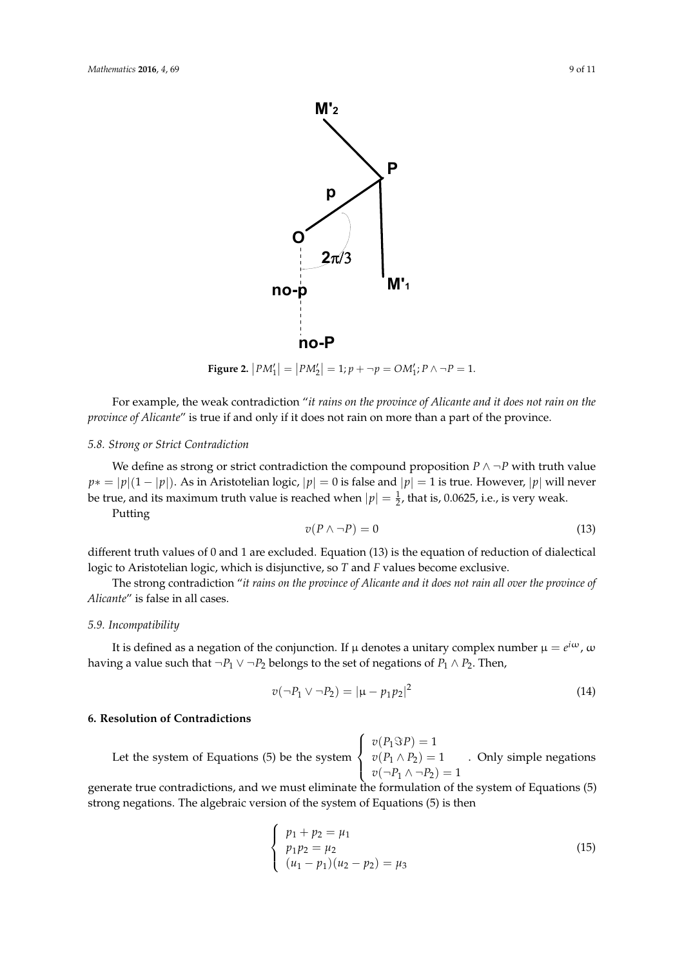<span id="page-8-0"></span>

**Figure 2.**  $|PM_1'| = |PM_2'| = 1; p + \neg p = OM_1'; P \land \neg P = 1.$ 

For example, the weak contradiction "it rains on the province of Alicante and it does not rain on the *province of Alicante"* is true if and only if it does not rain on more than a part of the province.

## *5.8. Strong or Strict Contradiction 5.8. Strong or Strict Contradiction*

We define as strong or strict contradiction the compound proposition  $P \land \neg P$  with truth value  $p* = |p|(1 - |p|)$ . As in Aristotelian logic,  $|p| = 0$  is false and  $|p| = 1$  is true. However,  $|p|$  will never be true, and its maximum truth value is reached when  $\frac{1}{2}$ be true, and its maximum truth value is reached when  $|p| = \frac{1}{2}$ , that is, 0.0625, i.e., is very weak.

Putting

$$
v(P \wedge \neg P) = 0 \tag{13}
$$

logic to Aristotelian logic, which is disjunctive, so *T* and *F* values become exclusive. different truth values of 0 and 1 are excluded. Equation (13) is the equation of reduction of dialectical

The strong contradiction "*it rains on the province of Alicante and it does not rain all over the province of* Alicante" is false in all cases.

### The strong contradiction "*it rains on the province of Alicante and it does not rain all over the province of Alicante*" is false in all cases. *5.9. Incompatibility*

having a value such that  $\neg P_1 ∨ \neg P_2$  belongs to the set of negations of  $P_1 ∧ P_2$ . Then, It is defined as a negation of the conjunction. If  $\mu$  denotes a unitary complex number  $\mu=e^{i\omega}$  ,  $\omega$ 

$$
v(\neg P_1 \lor \neg P_2) = |\mu - p_1 p_2|^2 \tag{14}
$$

### **6. Resolution of Contradictions**

 $\left( \begin{array}{c} \n\sqrt{2} & \sqrt{2} & \sqrt{2} \\
\sqrt{2} & \sqrt{2} & \sqrt{2} \\
\sqrt{2} & \sqrt{2} & \sqrt{2}\n\end{array} \right)$ Let the system of Equations (5) be the system  $\sqrt{ }$  $\int$  $\overline{\mathcal{L}}$  $v(P_1 \Im P) = 1$  $v(P_1 \wedge P_2) = 1$  $v(\neg P_1 \wedge \neg P_2) = 1$ . Only simple negations

determine the communication, and the main communic are communicated and strong negations. The algebraic version of the system of Equations (5) is then *v( P P )*  $\mathbf{r}$ generate true contradictions, and we must eliminate the formulation of the system of Equations (5)

$$
\begin{cases}\n p_1 + p_2 = \mu_1 \\
 p_1 p_2 = \mu_2 \\
 (u_1 - p_1)(u_2 - p_2) = \mu_3\n\end{cases}
$$
\n(15)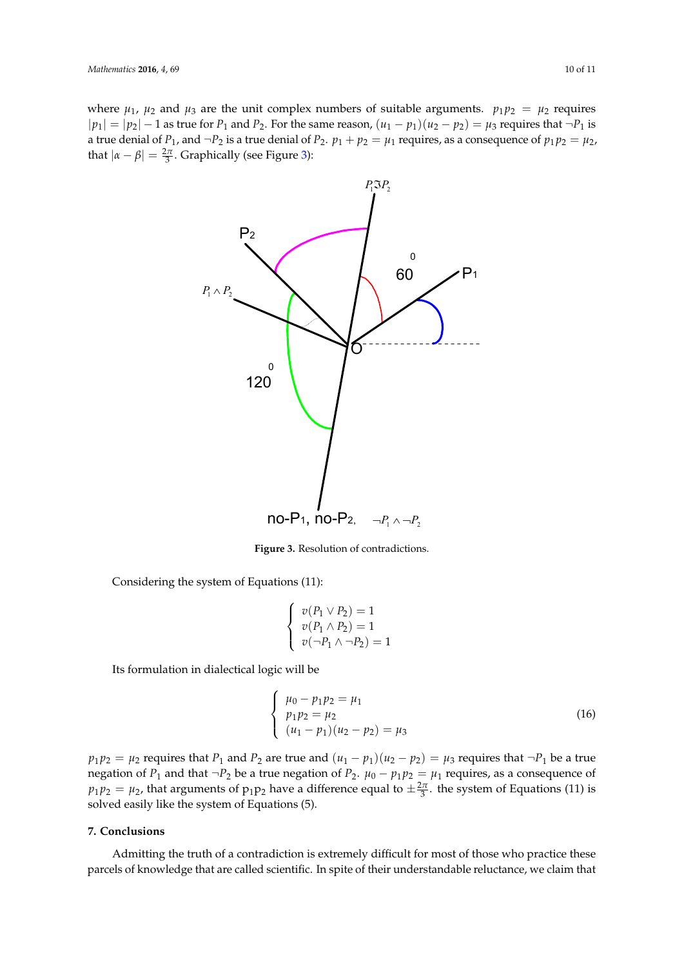<span id="page-9-0"></span>where  $\mu_1$ ,  $\mu_2$  and  $\mu_3$  are the unit complex numbers of suitable arguments.  $p_1p_2 = \mu_2$  requires  $|p_1| = |p_2| - 1$  as true for  $P_1$  and  $P_2$ . For the same reason,  $(u_1 - p_1)(u_2 - p_2) = \mu_3$  requires that  $\neg P_1$  is a true denial of  $P_1$ , and  $\neg P_2$  is a true denial of  $P_2$ .  $p_1 + p_2 = \mu_1$  requires, as a consequence of  $p_1p_2 = \mu_2$ , d true defilial of  $P_1$ , and  $\neg P_2$  is a true defilial of that  $|\alpha - \beta| = \frac{2\pi}{3}$ . Graphically (see Figure [3\)](#page-9-0):



**Figure 3.** Resolution of contradictions. **Figure 3.** Resolution of contradictions.

Considering the system of Equations (11):  $\mathcal{L}(\mathcal{L})$ Considering the system of Equations (11):

$$
\left\{\begin{array}{c} v(P_1\vee P_2)=1 \\ v(P_1\wedge P_2)=1 \\ v(\neg P_1\wedge \neg P_2)=1 \end{array}\right.
$$

*p p* Its formulation in dialectical logic will be

$$
\begin{cases}\n\mu_0 - p_1 p_2 = \mu_1 \\
p_1 p_2 = \mu_2 \\
(u_1 - p_1)(u_2 - p_2) = \mu_3\n\end{cases}
$$
\n(16)

 $p_1p_2 = \mu_2$  requires that  $P_1$  and  $P_2$  are true and  $(u_1 - p_1)(u_2 - p_2) = \mu_3$  requires that  $\neg P_1$  be a true negation of *P*<sub>1</sub> and that  $\neg P_2$  be a true negation of *P*<sub>2</sub>.  $\mu_0 - p_1 p_2 = \mu_1$  requires, as a consequence of  $p_1 p_2 = \mu_2$ , that arguments of  $p_1 p_2$  have a difference equal to  $\pm \frac{2\pi}{3}$ . the system of Equations (11) is solved easily like the system of Equations (5).

#### **7. Conclusions**

Admitting the truth of a contradiction is extremely difficult for most of those who practice these parcels of knowledge that are called scientific. In spite of their understandable reluctance, we claim that